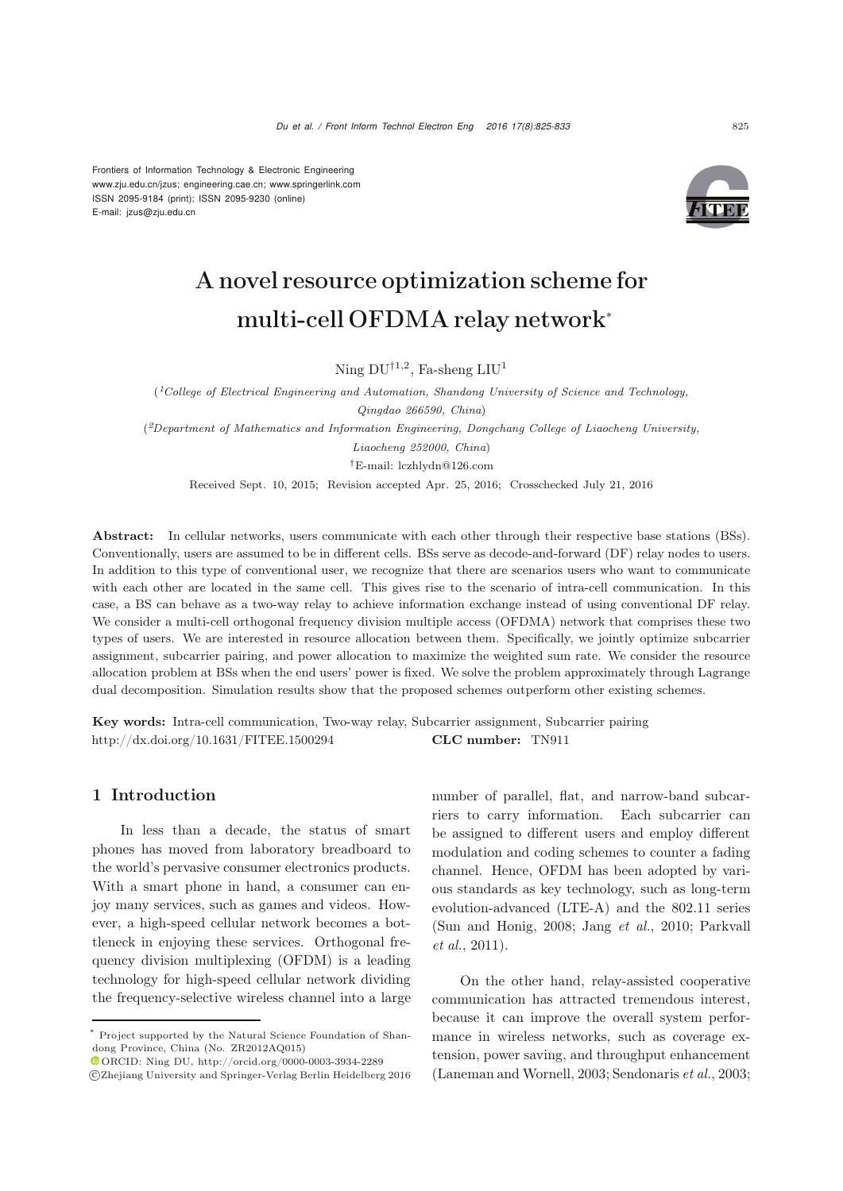Frontiers of Information Technology & Electronic Engineering www.zju.edu.cn/jzus; engineering.cae.cn; www.springerlink.com ISSN 2095-9184 (print); ISSN 2095-9230 (online) E-mail: jzus@zju.edu.cn



# A novel resource optimization scheme for multi-cell OFDMA relay network<sup>∗</sup>

Ning  $DU^{\dagger1,2}$ , Fa-sheng  $LU^1$ 

(*1College of Electrical Engineering and Automation, Shandong University of Science and Technology, Qingdao 266590, China*)

(*2Department of Mathematics and Information Engineering, Dongchang College of Liaocheng University,*

*Liaocheng 252000, China*) *†*E-mail: lczhlydn@126.com

Received Sept. 10, 2015; Revision accepted Apr. 25, 2016; Crosschecked July 21, 2016

Abstract: In cellular networks, users communicate with each other through their respective base stations (BSs). Conventionally, users are assumed to be in different cells. BSs serve as decode-and-forward (DF) relay nodes to users. In addition to this type of conventional user, we recognize that there are scenarios users who want to communicate with each other are located in the same cell. This gives rise to the scenario of intra-cell communication. In this case, a BS can behave as a two-way relay to achieve information exchange instead of using conventional DF relay. We consider a multi-cell orthogonal frequency division multiple access (OFDMA) network that comprises these two types of users. We are interested in resource allocation between them. Specifically, we jointly optimize subcarrier assignment, subcarrier pairing, and power allocation to maximize the weighted sum rate. We consider the resource allocation problem at BSs when the end users' power is fixed. We solve the problem approximately through Lagrange dual decomposition. Simulation results show that the proposed schemes outperform other existing schemes.

Key words: Intra-cell communication, Two-way relay, Subcarrier assignment, Subcarrier pairing http://dx.doi.org/10.1631/FITEE.1500294 CLC number: TN911

# 1 Introduction

In less than a decade, the status of smart phones has moved from laboratory breadboard to the world's pervasive consumer electronics products. With a smart phone in hand, a consumer can enjoy many services, such as games and videos. However, a high-speed cellular network becomes a bottleneck in enjoying these services. Orthogonal frequency division multiplexing (OFDM) is a leading technology for high-speed cellular network dividing the frequency-selective wireless channel into a large number of parallel, flat, and narrow-band subcarriers to carry information. Each subcarrier can be assigned to different users and employ different modulation and coding schemes to counter a fading channel. Hence, OFDM has been adopted by various standards as key technology, such as long-term evolution-advanced (LTE-A) and the 802.11 series [\(Sun and Honig](#page-8-0)[,](#page-8-1) [2008](#page-8-0)[;](#page-8-1) [Jang](#page-7-0) *et al.*, [2010](#page-7-0); Parkvall *et al.*, [2011\)](#page-8-1).

On the other hand, relay-assisted cooperative communication has attracted tremendous interest, because it can improve the overall system performance in wireless networks, such as coverage extension, power saving, and throughput enhancement [\(Laneman and Wornell](#page-7-1), [2003](#page-7-1); [Sendonaris](#page-8-2) *et al.*, [2003;](#page-8-2)

Project supported by the Natural Science Foundation of Shandong Province, China (No. ZR2012AQ015)

 $\textcolor{blue}{\bullet}$  ORCID: Ning DU, http://orcid.org/0000-0003-3934-2289

c Zhejiang University and Springer-Verlag Berlin Heidelberg 2016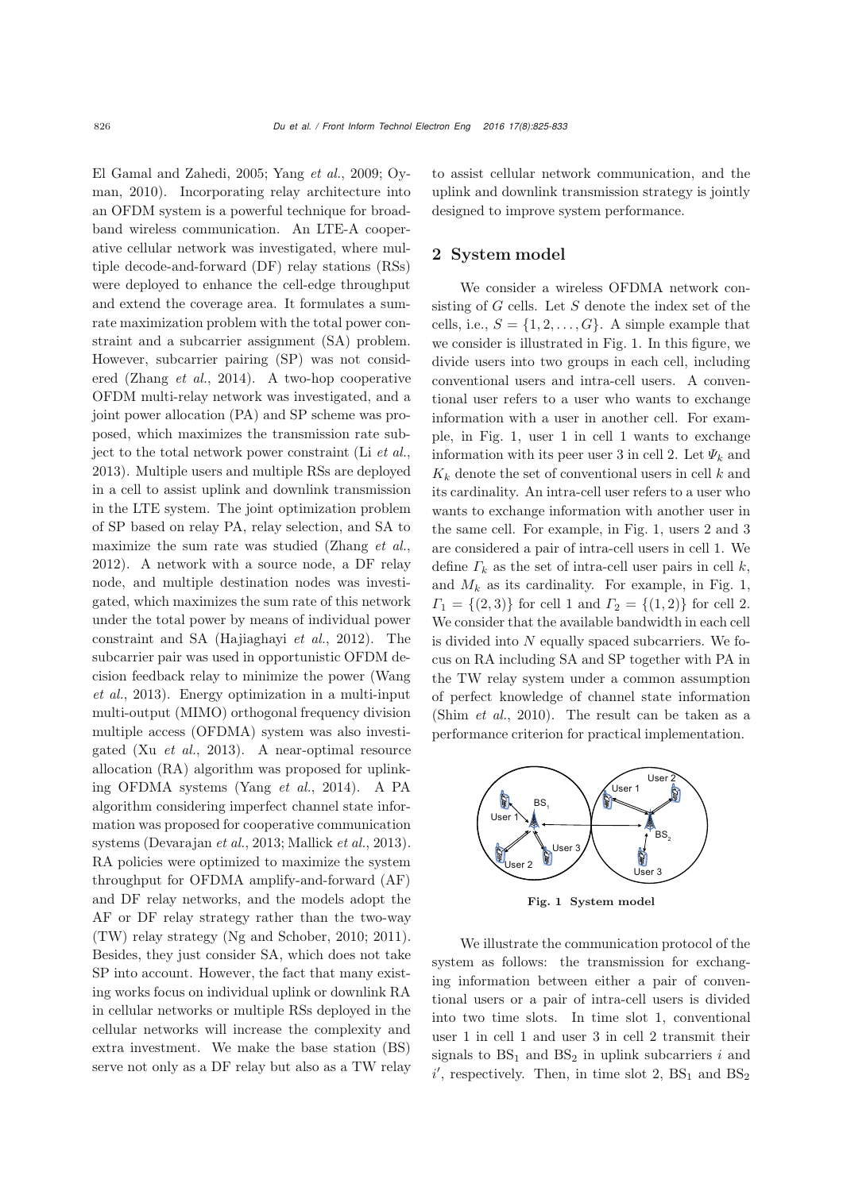[El Gamal and Zahedi](#page-7-2)[,](#page-8-4) [2005](#page-7-2)[;](#page-8-4) [Yang](#page-8-3) *et al.*, [2009;](#page-8-3) Oyman, [2010\)](#page-8-4). Incorporating relay architecture into an OFDM system is a powerful technique for broadband wireless communication. An LTE-A cooperative cellular network was investigated, where multiple decode-and-forward (DF) relay stations (RSs) were deployed to enhance the cell-edge throughput and extend the coverage area. It formulates a sumrate maximization problem with the total power constraint and a subcarrier assignment (SA) problem. However, subcarrier pairing (SP) was not considered [\(Zhang](#page-8-5) *et al.*, [2014](#page-8-5)). A two-hop cooperative OFDM multi-relay network was investigated, and a joint power allocation (PA) and SP scheme was proposed, which maximizes the transmission rate subject to the total network power constraint (Li *[et al.](#page-7-3)*, [2013](#page-7-3)). Multiple users and multiple RSs are deployed in a cell to assist uplink and downlink transmission in the LTE system. The joint optimization problem of SP based on relay PA, relay selection, and SA to maximize the sum rate was studied [\(Zhang](#page-8-6) *et al.*, [2012](#page-8-6)). A network with a source node, a DF relay node, and multiple destination nodes was investigated, which maximizes the sum rate of this network under the total power by means of individual power constraint and SA [\(Hajiaghayi](#page-7-4) *et al.*, [2012\)](#page-7-4). The subcarrier pair was used in opportunistic OFDM decisio[n](#page-8-7) [feedback](#page-8-7) [relay](#page-8-7) [to](#page-8-7) [minimize](#page-8-7) [the](#page-8-7) [power](#page-8-7) [\(](#page-8-7)Wang *et al.*, [2013\)](#page-8-7). Energy optimization in a multi-input multi-output (MIMO) orthogonal frequency division multiple access (OFDMA) system was also investigated (Xu *[et al.](#page-8-8)*, [2013](#page-8-8)). A near-optimal resource allocation (RA) algorithm was proposed for uplinking OFDMA systems [\(Yang](#page-8-9) *et al.*, [2014\)](#page-8-9). A PA algorithm considering imperfect channel state information was proposed for cooperative communication systems [\(Devarajan](#page-7-5) *et al.*, [2013](#page-7-5); [Mallick](#page-7-6) *et al.*, [2013\)](#page-7-6). RA policies were optimized to maximize the system throughput for OFDMA amplify-and-forward (AF) and DF relay networks, and the models adopt the AF or DF relay strategy rather than the two-way (TW) relay strategy (Ng and Schober, 2010; 2011). Besides, they just consider SA, which does not take SP into account. However, the fact that many existing works focus on individual uplink or downlink RA in cellular networks or multiple RSs deployed in the cellular networks will increase the complexity and extra investment. We make the base station (BS) serve not only as a DF relay but also as a TW relay

to assist cellular network communication, and the uplink and downlink transmission strategy is jointly designed to improve system performance.

### 2 System model

We consider a wireless OFDMA network consisting of  $G$  cells. Let  $S$  denote the index set of the cells, i.e.,  $S = \{1, 2, ..., G\}$ . A simple example that we consider is illustrated in Fig. 1. In this figure, we divide users into two groups in each cell, including conventional users and intra-cell users. A conventional user refers to a user who wants to exchange information with a user in another cell. For example, in Fig. 1, user 1 in cell 1 wants to exchange information with its peer user 3 in cell 2. Let  $\Psi_k$  and  $K_k$  denote the set of conventional users in cell k and its cardinality. An intra-cell user refers to a user who wants to exchange information with another user in the same cell. For example, in Fig. 1, users 2 and 3 are considered a pair of intra-cell users in cell 1. We define  $\Gamma_k$  as the set of intra-cell user pairs in cell k, and  $M_k$  as its cardinality. For example, in Fig. 1,  $\Gamma_1 = \{(2,3)\}\$ for cell 1 and  $\Gamma_2 = \{(1,2)\}\$ for cell 2. We consider that the available bandwidth in each cell is divided into  $N$  equally spaced subcarriers. We focus on RA including SA and SP together with PA in the TW relay system under a common assumption of perfect knowledge of channel state information [\(Shim](#page-8-10) *et al.*, [2010](#page-8-10)). The result can be taken as a performance criterion for practical implementation.



Fig. 1 System model

We illustrate the communication protocol of the system as follows: the transmission for exchanging information between either a pair of conventional users or a pair of intra-cell users is divided into two time slots. In time slot 1, conventional user 1 in cell 1 and user 3 in cell 2 transmit their signals to  $BS_1$  and  $BS_2$  in uplink subcarriers i and  $i'$ , respectively. Then, in time slot 2,  $BS_1$  and  $BS_2$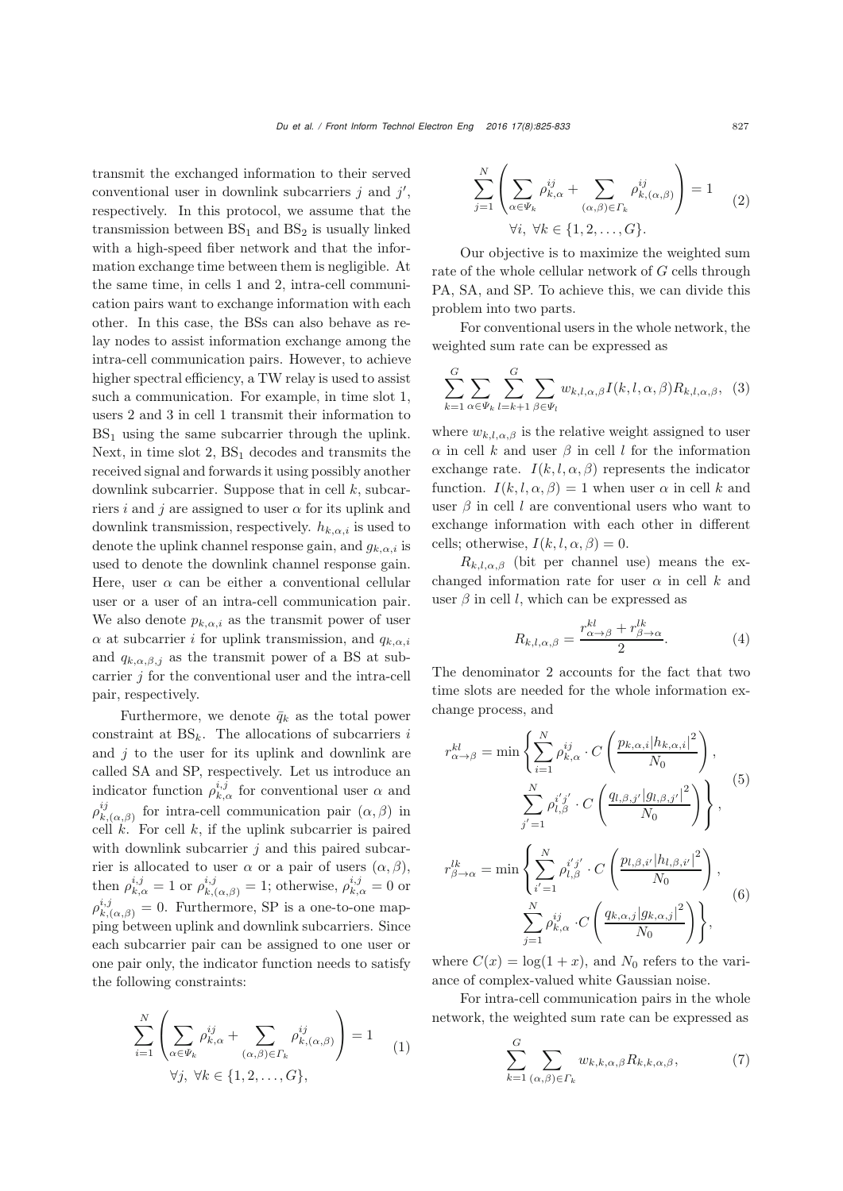transmit the exchanged information to their served conventional user in downlink subcarriers  $j$  and  $j'$ ,<br>reconstitutive In this protocol, we assume that the respectively. In this protocol, we assume that the transmission between  $BS<sub>1</sub>$  and  $BS<sub>2</sub>$  is usually linked with a high-speed fiber network and that the information exchange time between them is negligible. At the same time, in cells 1 and 2, intra-cell communication pairs want to exchange information with each other. In this case, the BSs can also behave as relay nodes to assist information exchange among the intra-cell communication pairs. However, to achieve higher spectral efficiency, a TW relay is used to assist such a communication. For example, in time slot 1, users 2 and 3 in cell 1 transmit their information to  $BS<sub>1</sub>$  using the same subcarrier through the uplink. Next, in time slot  $2$ ,  $BS<sub>1</sub>$  decodes and transmits the received signal and forwardsit using possibly another downlink subcarrier. Suppose that in cell  $k$ , subcarriers i and j are assigned to user  $\alpha$  for its uplink and downlink transmission, respectively.  $h_{k,\alpha,i}$  is used to denote the uplink channel response gain, and  $g_{k,\alpha,i}$  is used to denote the downlink channel response gain. Here, user  $\alpha$  can be either a conventional cellular user or a user of an intra-cell communication pair. We also denote  $p_{k,\alpha,i}$  as the transmit power of user  $\alpha$  at subcarrier *i* for uplink transmission, and  $q_{k,\alpha,i}$ and  $q_{k,\alpha,\beta,j}$  as the transmit power of a BS at subcarrier  $j$  for the conventional user and the intra-cell pair, respectively.

Furthermore, we denote  $\bar{q}_k$  as the total power constraint at  $BS_k$ . The allocations of subcarriers i and  $j$  to the user for its uplink and downlink are called SA and SP, respectively. Let us introduce an indicator function  $\rho_{k,\alpha}^{i,j}$  for conventional user  $\alpha$  and  $\rho_{k,(\alpha,\beta)}^{ij}$  for intra-cell communication pair  $(\alpha,\beta)$  in  $\alpha$ <sup>i</sup>, Eq. cell *k* if the unlink subgerrier is paired cell  $k$ . For cell k, if the uplink subcarrier is paired with downlink subcarrier  $j$  and this paired subcarrier is allocated to user  $\alpha$  or a pair of users  $(\alpha, \beta)$ , then  $\rho_{k,\alpha}^{i,j} = 1$  or  $\rho_{k,(\alpha,\beta)}^{i,j} = 1$ ; otherwise,  $\rho_{k,\alpha}^{i,j} = 0$  or  $\rho_{k,(a,\beta)}^{i,j} = 0$ . Furthermore, SP is a one-to-one map-<br>ping botwoon uplink and downlink subgarriers. Since ping between uplink and downlink subcarriers. Since each subcarrier pair can be assigned to one user or one pair only, the indicator function needs to satisfy the following constraints:

$$
\sum_{i=1}^{N} \left( \sum_{\alpha \in \Psi_k} \rho_{k,\alpha}^{ij} + \sum_{(\alpha,\beta) \in \Gamma_k} \rho_{k,(\alpha,\beta)}^{ij} \right) = 1
$$
\n
$$
\forall j, \forall k \in \{1, 2, ..., G\},
$$
\n(1)

$$
\sum_{j=1}^{N} \left( \sum_{\alpha \in \Psi_k} \rho_{k,\alpha}^{ij} + \sum_{(\alpha,\beta) \in \Gamma_k} \rho_{k,(\alpha,\beta)}^{ij} \right) = 1
$$
\n
$$
\forall i, \forall k \in \{1, 2, \dots, G\}.
$$
\n(2)

Our objective is to maximize the weighted sum rate of the whole cellular network of G cells through PA, SA, and SP. To achieve this, we can divide this problem into two parts.

For conventional users in the whole network, the weighted sum rate can be expressed as

$$
\sum_{k=1}^{G} \sum_{\alpha \in \Psi_k} \sum_{l=k+1}^{G} \sum_{\beta \in \Psi_l} w_{k,l,\alpha,\beta} I(k,l,\alpha,\beta) R_{k,l,\alpha,\beta}, \tag{3}
$$

where  $w_{k,l,\alpha,\beta}$  is the relative weight assigned to user  $\alpha$  in cell k and user  $\beta$  in cell l for the information exchange rate.  $I(k, l, \alpha, \beta)$  represents the indicator function.  $I(k, l, \alpha, \beta) = 1$  when user  $\alpha$  in cell k and user  $\beta$  in cell l are conventional users who want to exchange information with each other in different cells; otherwise,  $I(k, l, \alpha, \beta)=0$ .

 $R_{k,l,\alpha,\beta}$  (bit per channel use) means the exchanged information rate for user  $\alpha$  in cell k and user  $\beta$  in cell l, which can be expressed as

$$
R_{k,l,\alpha,\beta} = \frac{r_{\alpha \to \beta}^{kl} + r_{\beta \to \alpha}^{lk}}{2}.
$$
 (4)

The denominator 2 accounts for the fact that two time slots are needed for the whole information exchange process, and

$$
r_{\alpha \to \beta}^{kl} = \min \left\{ \sum_{i=1}^{N} \rho_{k,\alpha}^{ij} \cdot C \left( \frac{p_{k,\alpha,i} |h_{k,\alpha,i}|^2}{N_0} \right), \right. \n\sum_{j'=1}^{N} \rho_{l,\beta}^{i'j'} \cdot C \left( \frac{q_{l,\beta,j'} |g_{l,\beta,j'}|^2}{N_0} \right) \right\},
$$
\n
$$
r_{\beta \to \alpha}^{lk} = \min \left\{ \sum_{i'=1}^{N} \rho_{l,\beta}^{i'j'} \cdot C \left( \frac{p_{l,\beta,i'} |h_{l,\beta,i'}|^2}{N_0} \right), \right. \n\sum_{j=1}^{N} \rho_{k,\alpha}^{ij} \cdot C \left( \frac{q_{k,\alpha,j} |g_{k,\alpha,j}|^2}{N_0} \right) \right\},
$$
\n(6)

where  $C(x) = \log(1+x)$ , and  $N_0$  refers to the variance of complex-valued white Gaussian noise.

For intra-cell communication pairs in the whole network, the weighted sum rate can be expressed as

$$
\sum_{k=1}^{G} \sum_{(\alpha,\beta)\in\Gamma_k} w_{k,k,\alpha,\beta} R_{k,k,\alpha,\beta}, \qquad (7)
$$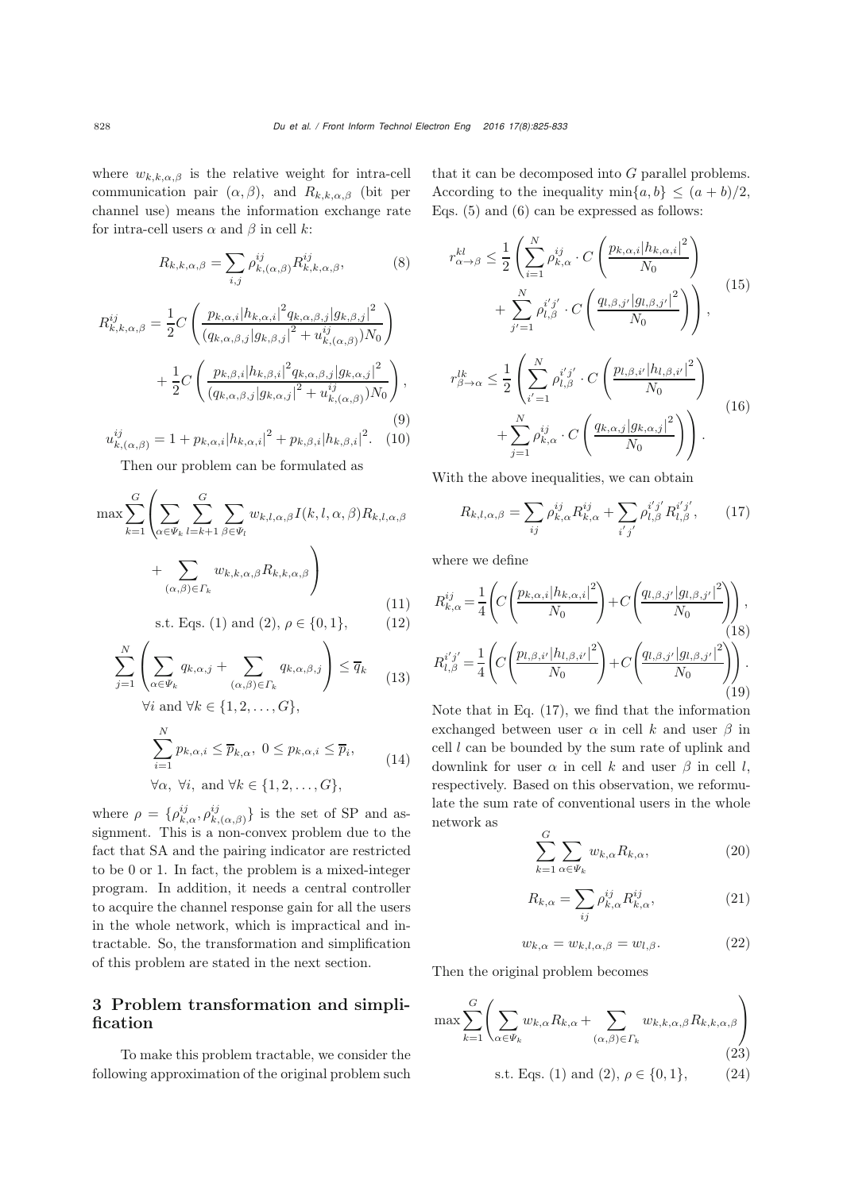where  $w_{k,k,\alpha,\beta}$  is the relative weight for intra-cell communication pair  $(\alpha, \beta)$ , and  $R_{k,k,\alpha,\beta}$  (bit per channel use) means the information exchange rate for intra-cell users  $\alpha$  and  $\beta$  in cell k:

$$
R_{k,k,\alpha,\beta} = \sum_{i,j} \rho_{k,(\alpha,\beta)}^{ij} R_{k,k,\alpha,\beta}^{ij},\tag{8}
$$

$$
R_{k,k,\alpha,\beta}^{ij} = \frac{1}{2} C \left( \frac{p_{k,\alpha,i} |h_{k,\alpha,i}|^2 q_{k,\alpha,\beta,j} |g_{k,\beta,j}|^2}{(q_{k,\alpha,\beta,j} |g_{k,\beta,j}|^2 + u_{k,(\alpha,\beta)}^{ij}) N_0} \right) + \frac{1}{2} C \left( \frac{p_{k,\beta,i} |h_{k,\beta,i}|^2 q_{k,\alpha,\beta,j} |g_{k,\alpha,j}|^2}{(q_{k,\alpha,\beta,j} |g_{k,\alpha,j}|^2 + u_{k,(\alpha,\beta)}^{ij}) N_0} \right),
$$
\n
$$
u_{k,(\alpha,\beta)}^{ij} = 1 + p_{k,\alpha,i} |h_{k,\alpha,i}|^2 + p_{k,\beta,i} |h_{k,\beta,i}|^2. \quad (10)
$$

Then our problem can be formulated as

$$
\max \sum_{k=1}^{G} \left( \sum_{\alpha \in \Psi_k} \sum_{l=k+1}^{G} \sum_{\beta \in \Psi_l} w_{k,l,\alpha,\beta} I(k,l,\alpha,\beta) R_{k,l,\alpha,\beta} + \sum_{(\alpha,\beta) \in \Gamma_k} w_{k,k,\alpha,\beta} R_{k,k,\alpha,\beta} \right)
$$
\n(11)

s.t. Eqs. (1) and (2), 
$$
\rho \in \{0, 1\}
$$
, (12)

$$
\sum_{j=1}^{N} \left( \sum_{\alpha \in \Psi_k} q_{k,\alpha,j} + \sum_{(\alpha,\beta) \in \Gamma_k} q_{k,\alpha,\beta,j} \right) \le \overline{q}_k \tag{13}
$$

 $\forall i$  and  $\forall k \in \{1, 2, ..., G\},\$ 

$$
\sum_{i=1}^{N} p_{k,\alpha,i} \leq \overline{p}_{k,\alpha}, \ 0 \leq p_{k,\alpha,i} \leq \overline{p}_{i},
$$
\n
$$
\forall \alpha, \ \forall i, \text{ and } \forall k \in \{1, 2, \dots, G\},
$$
\n(14)

where  $\rho = {\rho^{ij}_{k,\alpha}, \rho^{ij}_{k,(\alpha,\beta)}}$  is the set of SP and as-<br>giganout. This is a non-sonicy problem due to the signment. This is a non-convex problem due to the fact that SA and the pairing indicator are restricted to be 0 or 1. In fact, the problem is a mixed-integer program. In addition, it needs a central controller to acquire the channel response gain for all the users in the whole network, which is impractical and intractable. So, the transformation and simplification of this problem are stated in the next section.

# 3 Problem transformation and simplification

To make this problem tractable, we consider the following approximation of the original problem such

that it can be decomposed into G parallel problems. According to the inequality  $\min\{a, b\} \leq (a + b)/2$ , Eqs. (5) and (6) can be expressed as follows:

$$
r_{\alpha \to \beta}^{kl} \leq \frac{1}{2} \left( \sum_{i=1}^{N} \rho_{k,\alpha}^{ij} \cdot C \left( \frac{p_{k,\alpha,i} |h_{k,\alpha,i}|^2}{N_0} \right) + \sum_{j'=1}^{N} \rho_{l,\beta}^{i'j'} \cdot C \left( \frac{q_{l,\beta,j'} |g_{l,\beta,j'}|^2}{N_0} \right) \right),
$$
\n
$$
r_{\beta \to \alpha}^{lk} \leq \frac{1}{2} \left( \sum_{i'=1}^{N} \rho_{l,\beta}^{i'j'} \cdot C \left( \frac{p_{l,\beta,i'} |h_{l,\beta,i'}|^2}{N_0} \right) + \sum_{j=1}^{N} \rho_{k,\alpha}^{ij} \cdot C \left( \frac{q_{k,\alpha,j} |g_{k,\alpha,j}|^2}{N_0} \right) \right).
$$
\n(16)

With the above inequalities, we can obtain

$$
R_{k,l,\alpha,\beta} = \sum_{ij} \rho_{k,\alpha}^{ij} R_{k,\alpha}^{ij} + \sum_{i'j'} \rho_{l,\beta}^{i'j'} R_{l,\beta}^{i'j'}, \qquad (17)
$$

where we define

$$
R_{k,\alpha}^{ij} = \frac{1}{4} \left( C \left( \frac{p_{k,\alpha,i} |h_{k,\alpha,i}|^2}{N_0} \right) + C \left( \frac{q_{l,\beta,j'} |g_{l,\beta,j'}|^2}{N_0} \right) \right),
$$
  
\n
$$
R_{l,\beta}^{i'j'} = \frac{1}{4} \left( C \left( \frac{p_{l,\beta,i'} |h_{l,\beta,i'}|^2}{N_0} \right) + C \left( \frac{q_{l,\beta,j'} |g_{l,\beta,j'}|^2}{N_0} \right) \right).
$$
  
\n(18)  
\n(19)

Note that in Eq. (17), we find that the information exchanged between user  $\alpha$  in cell k and user  $\beta$  in cell  $l$  can be bounded by the sum rate of uplink and downlink for user  $\alpha$  in cell k and user  $\beta$  in cell l, respectively. Based on this observation, we reformulate the sum rate of conventional users in the whole network as

$$
\sum_{k=1}^{G} \sum_{\alpha \in \Psi_k} w_{k,\alpha} R_{k,\alpha},\tag{20}
$$

$$
R_{k,\alpha} = \sum_{ij} \rho_{k,\alpha}^{ij} R_{k,\alpha}^{ij}, \qquad (21)
$$

$$
w_{k,\alpha} = w_{k,l,\alpha,\beta} = w_{l,\beta}.
$$
 (22)

Then the original problem becomes

$$
\max \sum_{k=1}^{G} \left( \sum_{\alpha \in \Psi_k} w_{k,\alpha} R_{k,\alpha} + \sum_{(\alpha,\beta) \in \Gamma_k} w_{k,k,\alpha,\beta} R_{k,k,\alpha,\beta} \right)
$$
\n(23)

s.t. Eqs. (1) and (2), 
$$
\rho \in \{0, 1\}
$$
, (24)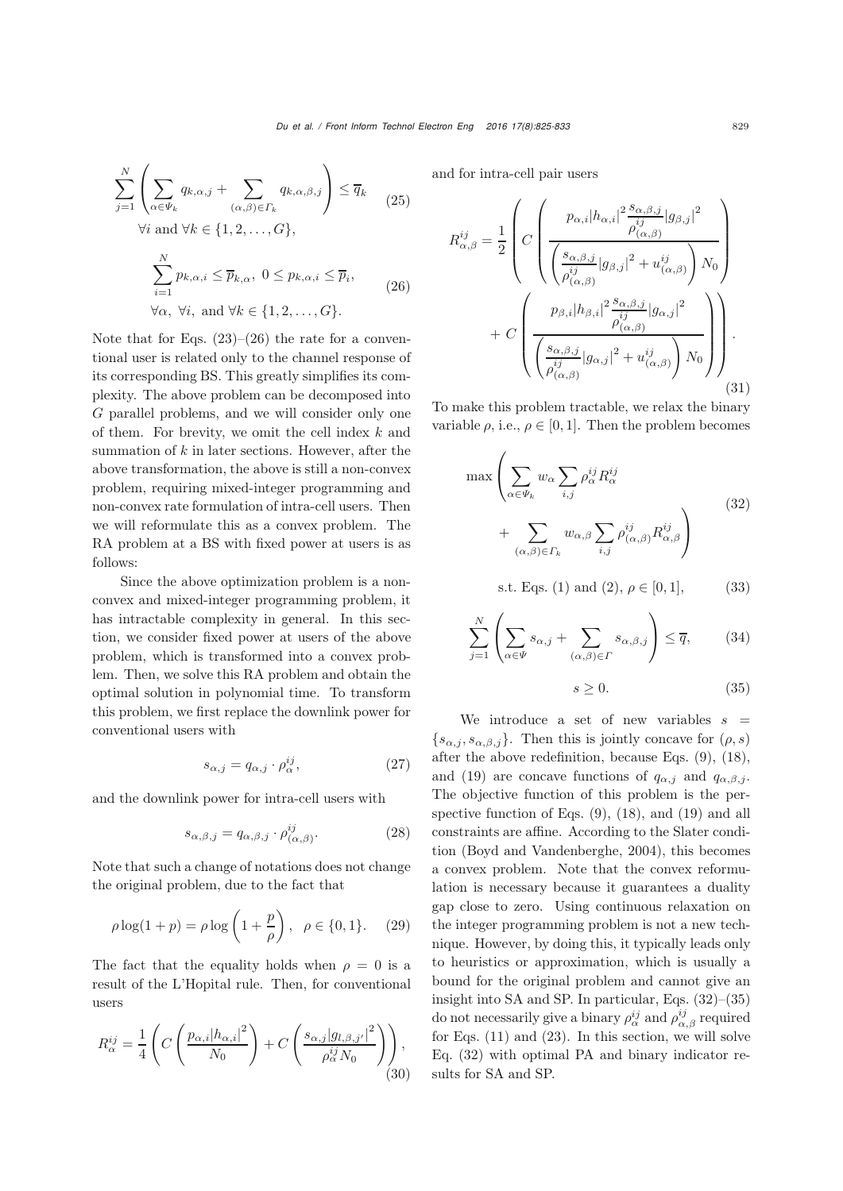$$
\sum_{j=1}^{N} \left( \sum_{\alpha \in \Psi_k} q_{k,\alpha,j} + \sum_{(\alpha,\beta) \in \Gamma_k} q_{k,\alpha,\beta,j} \right) \le \overline{q}_k
$$
\n
$$
\forall i \text{ and } \forall k \in \{1, 2, ..., G\},
$$
\n
$$
\sum_{i=1}^{N} p_{k,\alpha,i} \le \overline{p}_{k,\alpha}, \ 0 \le p_{k,\alpha,i} \le \overline{p}_i,
$$
\n
$$
\forall \alpha, \ \forall i, \text{ and } \forall k \in \{1, 2, ..., G\}.
$$
\n(26)

Note that for Eqs.  $(23)$ – $(26)$  the rate for a conventional user is related only to the channel response of its corresponding BS. This greatly simplifies its complexity. The above problem can be decomposed into G parallel problems, and we will consider only one of them. For brevity, we omit the cell index  $k$  and summation of  $k$  in later sections. However, after the above transformation, the above is still a non-convex problem, requiring mixed-integer programming and non-convex rate formulation of intra-cell users. Then we will reformulate this as a convex problem. The RA problem at a BS with fixed power at users is as follows:

Since the above optimization problem is a nonconvex and mixed-integer programming problem, it has intractable complexity in general. In this section, we consider fixed power at users of the above problem, which is transformed into a convex problem. Then, we solve this RA problem and obtain the optimal solution in polynomial time. To transform this problem, we first replace the downlink power for conventional users with

$$
s_{\alpha,j} = q_{\alpha,j} \cdot \rho_{\alpha}^{ij},\tag{27}
$$

and the downlink power for intra-cell users with

$$
s_{\alpha,\beta,j} = q_{\alpha,\beta,j} \cdot \rho_{(\alpha,\beta)}^{ij}.
$$
 (28)

Note that such a change of notations does not change the original problem, due to the fact that

$$
\rho \log(1 + p) = \rho \log \left(1 + \frac{p}{\rho}\right), \ \rho \in \{0, 1\}.
$$
 (29)

The fact that the equality holds when  $\rho = 0$  is a result of the L'Hopital rule. Then, for conventional users

$$
R_{\alpha}^{ij} = \frac{1}{4} \left( C \left( \frac{p_{\alpha,i} |h_{\alpha,i}|^2}{N_0} \right) + C \left( \frac{s_{\alpha,j} |g_{l,\beta,j'}|^2}{\rho_{\alpha}^{ij} N_0} \right) \right),\tag{30}
$$

and for intra-cell pair users

$$
R_{\alpha,\beta}^{ij} = \frac{1}{2} \left( C \left( \frac{p_{\alpha,i} |h_{\alpha,i}|^2 \frac{s_{\alpha,\beta,j}}{\rho_{(\alpha,\beta)}^{ij}} |g_{\beta,j}|^2}{\left( \frac{s_{\alpha,\beta,j}}{\rho_{(\alpha,\beta)}^{ij}} |g_{\beta,j}|^2 + u_{(\alpha,\beta)}^{ij} \right) N_0} \right) + C \left( \frac{p_{\beta,i} |h_{\beta,i}|^2 \frac{s_{\alpha,\beta,j}}{\rho_{(\alpha,\beta)}^{ij}} |g_{\alpha,j}|^2}{\left( \frac{s_{\alpha,\beta,j}}{\rho_{(\alpha,\beta)}^{ij}} |g_{\alpha,j}|^2 + u_{(\alpha,\beta)}^{ij} \right) N_0} \right) \right). \tag{31}
$$

To make this problem tractable, we relax the binary variable  $\rho$ , i.e.,  $\rho \in [0, 1]$ . Then the problem becomes

$$
\max \left( \sum_{\alpha \in \Psi_k} w_{\alpha} \sum_{i,j} \rho_{\alpha}^{ij} R_{\alpha}^{ij} + \sum_{(\alpha,\beta) \in \Gamma_k} w_{\alpha,\beta} \sum_{i,j} \rho_{(\alpha,\beta)}^{ij} R_{\alpha,\beta}^{ij} \right)
$$
\n(32)

s.t. Eqs. (1) and (2), 
$$
\rho \in [0, 1]
$$
, (33)

$$
\sum_{j=1}^{N} \left( \sum_{\alpha \in \Psi} s_{\alpha,j} + \sum_{(\alpha,\beta) \in \Gamma} s_{\alpha,\beta,j} \right) \le \overline{q},\qquad(34)
$$

$$
s \ge 0. \tag{35}
$$

We introduce a set of new variables  $s =$  $\{s_{\alpha,i}, s_{\alpha,\beta,i}\}.$  Then this is jointly concave for  $(\rho, s)$ after the above redefinition, because Eqs. (9), (18), and (19) are concave functions of  $q_{\alpha,j}$  and  $q_{\alpha,\beta,j}$ . The objective function of this problem is the perspective function of Eqs. (9), (18), and (19) and all constraints are affine. According to the Slater condition (Boyd and Vandenberghe, 2004), this becomes a convex problem. Note that the convex reformulation is necessary because it guarantees a duality gap close to zero. Using continuous relaxation on the integer programming problem is not a new technique. However, by doing this, it typically leads only to heuristics or approximation, which is usually a bound for the original problem and cannot give an insight into SA and SP. In particular, Eqs. (32)–(35) do not necessarily give a binary  $\rho_{\alpha\beta}^{ij}$  and  $\rho_{\alpha\beta}^{ij}$  required<br>for Eqs. (11) and (23). In this goation, we will solve for Eqs. (11) and (23). In this section, we will solve Eq. (32) with optimal PA and binary indicator results for SA and SP.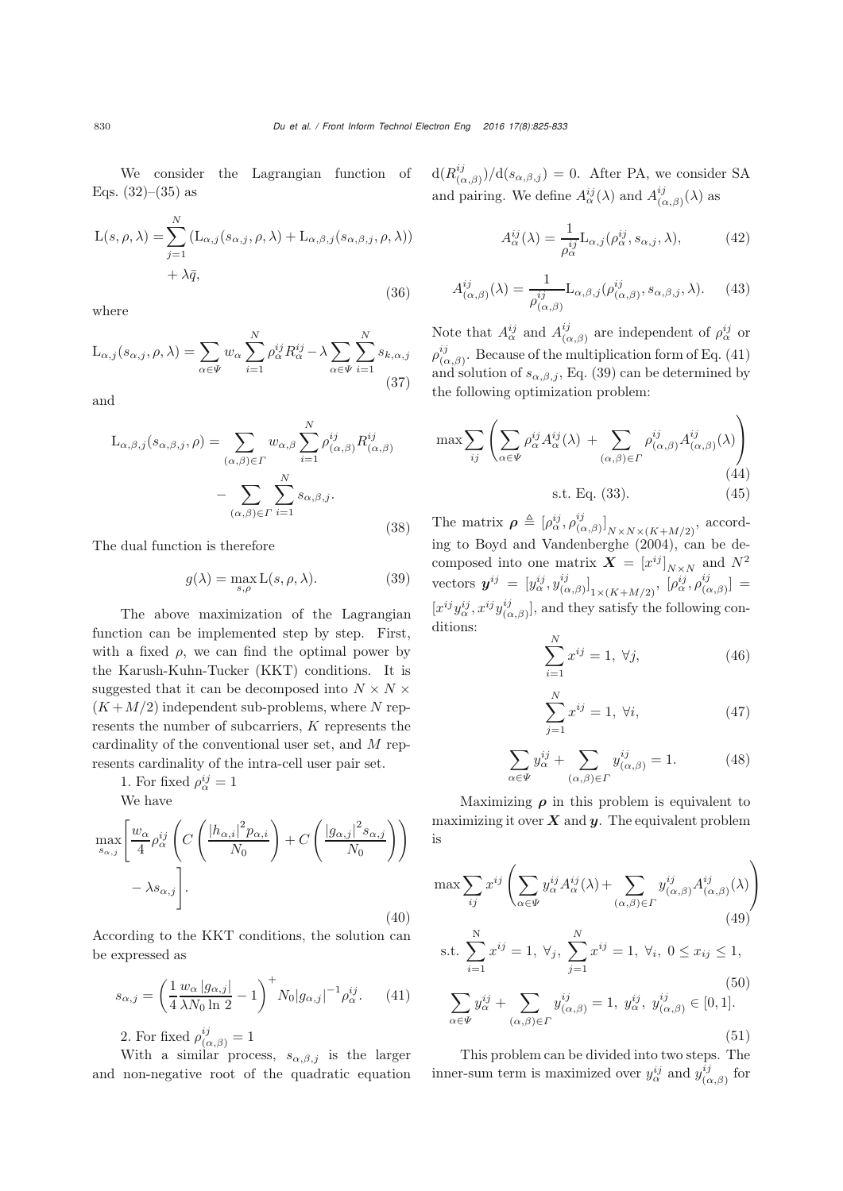We consider the Lagrangian function of Eqs.  $(32)–(35)$  as

$$
L(s, \rho, \lambda) = \sum_{j=1}^{N} (L_{\alpha,j}(s_{\alpha,j}, \rho, \lambda) + L_{\alpha,\beta,j}(s_{\alpha,\beta,j}, \rho, \lambda)) + \lambda \bar{q},
$$
\n(36)

where

$$
\mathcal{L}_{\alpha,j}(s_{\alpha,j}, \rho, \lambda) = \sum_{\alpha \in \Psi} w_{\alpha} \sum_{i=1}^{N} \rho_{\alpha}^{ij} R_{\alpha}^{ij} - \lambda \sum_{\alpha \in \Psi} \sum_{i=1}^{N} s_{k,\alpha,j}
$$
(37)

and

$$
L_{\alpha,\beta,j}(s_{\alpha,\beta,j},\rho) = \sum_{(\alpha,\beta)\in\Gamma} w_{\alpha,\beta} \sum_{i=1}^N \rho_{(\alpha,\beta)}^{ij} R_{(\alpha,\beta)}^{ij}
$$

$$
-\sum_{(\alpha,\beta)\in\Gamma} \sum_{i=1}^N s_{\alpha,\beta,j}.
$$

The dual function is therefore

$$
g(\lambda) = \max_{s,\rho} \mathcal{L}(s,\rho,\lambda). \tag{39}
$$

The above maximization of the Lagrangian function can be implemented step by step. First, with a fixed  $\rho$ , we can find the optimal power by the Karush-Kuhn-Tucker (KKT) conditions. It is suggested that it can be decomposed into  $N \times N \times$  $(K+M/2)$  independent sub-problems, where N represents the number of subcarriers, K represents the cardinality of the conventional user set, and M represents cardinality of the intra-cell user pair set.

1. For fixed 
$$
\rho_{\alpha}^{ij} = 1
$$
  
We have

$$
\max_{s_{\alpha,j}} \left[ \frac{w_{\alpha}}{4} \rho_{\alpha}^{ij} \left( C \left( \frac{|h_{\alpha,i}|^2 p_{\alpha,i}}{N_0} \right) + C \left( \frac{|g_{\alpha,j}|^2 s_{\alpha,j}}{N_0} \right) \right) - \lambda s_{\alpha,j} \right].
$$
\n(40)

According to the KKT conditions, the solution can be expressed as

$$
s_{\alpha,j} = \left(\frac{1}{4} \frac{w_{\alpha} |g_{\alpha,j}|}{\lambda N_0 \ln 2} - 1\right)^{+} N_0 |g_{\alpha,j}|^{-1} \rho_{\alpha}^{ij}.
$$
 (41)

2. For fixed  $\rho_{(\alpha,\beta)}^{ij} = 1$ <br>With a similar process

With a similar process,  $s_{\alpha,\beta,j}$  is the larger and non-negative root of the quadratic equation  $d(R_{(\alpha,\beta)}^{ij})/d(s_{\alpha,\beta,j})=0$ . After PA, we consider SA and pairing. We define  $A^{ij}_{\alpha}(\lambda)$  and  $A^{ij}_{(\alpha,\beta)}(\lambda)$  as

$$
A_{\alpha}^{ij}(\lambda) = \frac{1}{\rho_{\alpha}^{ij}} \mathcal{L}_{\alpha,j}(\rho_{\alpha}^{ij}, s_{\alpha,j}, \lambda), \tag{42}
$$

$$
A^{ij}_{(\alpha,\beta)}(\lambda) = \frac{1}{\rho_{(\alpha,\beta)}^{ij}} \mathcal{L}_{\alpha,\beta,j}(\rho_{(\alpha,\beta)}^{ij}, s_{\alpha,\beta,j}, \lambda). \tag{43}
$$

Note that  $A_{\alpha}^{ij}$  and  $A_{(\alpha,\beta)}^{ij}$  are independent of  $\rho_{\alpha}^{ij}$  or  $\rho_{\alpha,\beta}^{ij}$ . Because of the multiplication form of Eq. (41) and solution of  $s_{\alpha,\beta,j}$ , Eq. (39) can be determined by the following optimization problem:

$$
\max \sum_{ij} \left( \sum_{\alpha \in \Psi} \rho_{\alpha}^{ij} A_{\alpha}^{ij}(\lambda) + \sum_{(\alpha,\beta) \in \Gamma} \rho_{(\alpha,\beta)}^{ij} A_{(\alpha,\beta)}^{ij}(\lambda) \right)
$$
\n
$$
\text{s.t. Eq. (33).} \tag{44}
$$

(38) The matrix  $\rho \triangleq [\rho_{\alpha}^{ij}, \rho_{(\alpha,\beta)}^{ij}]_{N \times N \times (K+M/2)}$ , according to [Boyd and Vandenberghe](#page-7-7) [\(2004](#page-7-7)), can be decomposed into one matrix  $\boldsymbol{X} = [x^{ij}]_{N \times N}$  and  $N^2$ vectors  $\boldsymbol{y}^{ij} = \left[y^{ij}_{\alpha}, y^{ij}_{(\alpha,\beta)}\right]_{1 \times (K+M/2)}, \left[\rho^{ij}_{\alpha}, \rho^{ij}_{(\alpha,\beta)}\right] =$  $[x^{ij}y^{ij}_{\alpha,\beta}$ ,  $x^{ij}y^{ij}_{(\alpha,\beta)}]$ , and they satisfy the following conditions:

$$
\sum_{i=1}^{N} x^{ij} = 1, \ \forall j,
$$
\n(46)

$$
\sum_{j=1}^{N} x^{ij} = 1, \ \forall i,
$$
\n(47)

$$
\sum_{\alpha \in \Psi} y_{\alpha}^{ij} + \sum_{(\alpha,\beta) \in \Gamma} y_{(\alpha,\beta)}^{ij} = 1.
$$
 (48)

Maximizing  $\rho$  in this problem is equivalent to maximizing it over  $\boldsymbol{X}$  and  $\boldsymbol{y}$ . The equivalent problem is

$$
\max \sum_{ij} x^{ij} \left( \sum_{\alpha \in \Psi} y_{\alpha}^{ij} A_{\alpha}^{ij}(\lambda) + \sum_{(\alpha,\beta) \in \Gamma} y_{(\alpha,\beta)}^{ij} A_{(\alpha,\beta)}^{ij}(\lambda) \right)
$$
\n
$$
\text{s.t. } \sum_{i=1}^{N} x^{ij} = 1, \ \forall_{j}, \ \sum_{j=1}^{N} x^{ij} = 1, \ \forall_{i}, \ 0 \le x_{ij} \le 1,
$$
\n
$$
\sum_{\alpha \in \Psi} y_{\alpha}^{ij} + \sum_{(\alpha,\beta) \in \Gamma} y_{(\alpha,\beta)}^{ij} = 1, \ y_{\alpha}^{ij}, \ y_{(\alpha,\beta)}^{ij} \in [0,1].
$$
\n(50)\n
$$
(51)
$$

This problem can be divided into two steps. The inner-sum term is maximized over  $y_{\alpha}^{ij}$  and  $y_{(\alpha,\beta)}^{ij}$  for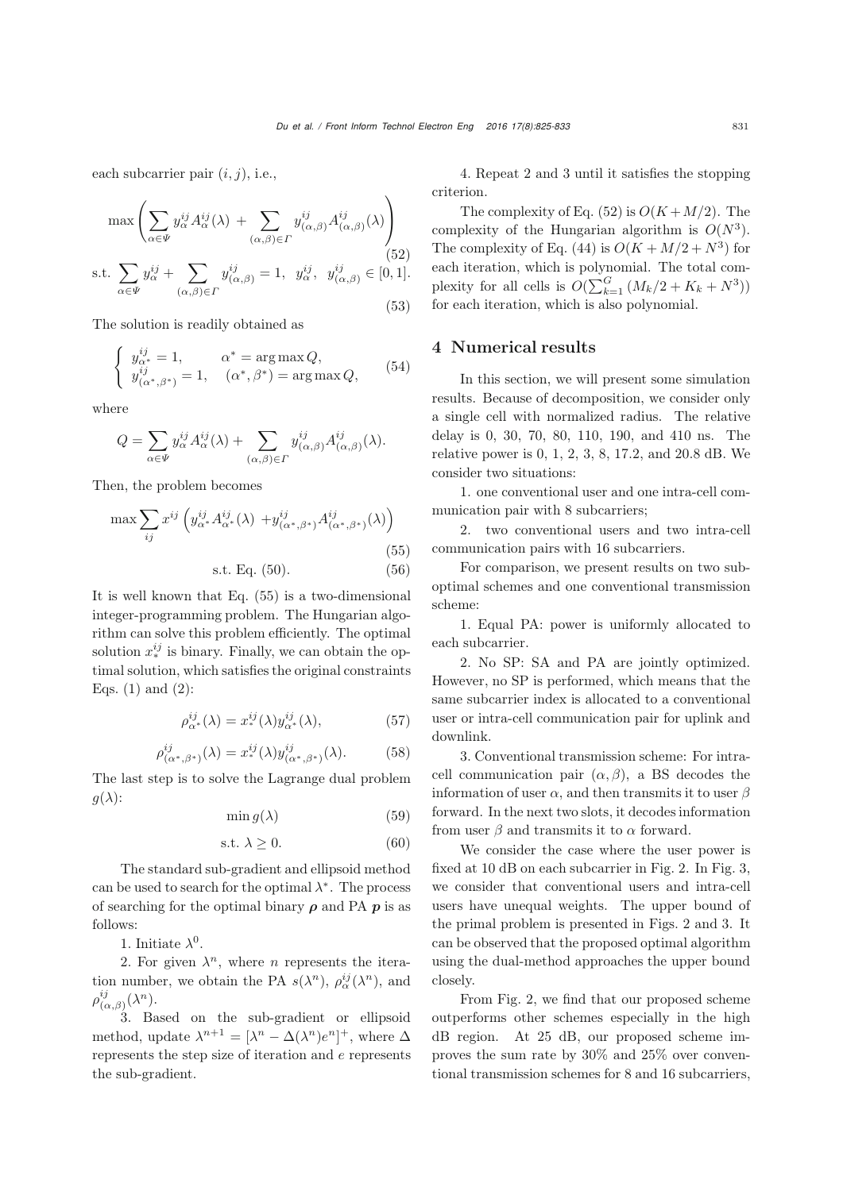each subcarrier pair  $(i, j)$ , i.e.,

$$
\max \left( \sum_{\alpha \in \Psi} y_{\alpha}^{ij} A_{\alpha}^{ij}(\lambda) + \sum_{(\alpha,\beta) \in \Gamma} y_{(\alpha,\beta)}^{ij} A_{(\alpha,\beta)}^{ij}(\lambda) \right)
$$
  
s.t. 
$$
\sum_{\alpha \in \Psi} y_{\alpha}^{ij} + \sum_{(\alpha,\beta) \in \Gamma} y_{(\alpha,\beta)}^{ij} = 1, \quad y_{\alpha}^{ij}, \quad y_{(\alpha,\beta)}^{ij} \in [0,1].
$$
  
(52)

The solution is readily obtained as

$$
\begin{cases}\ny_{\alpha^*}^{ij} = 1, & \alpha^* = \arg \max Q, \\
y_{(\alpha^*, \beta^*)}^{ij} = 1, & (\alpha^*, \beta^*) = \arg \max Q,\n\end{cases} \tag{54}
$$

where

$$
Q=\sum_{\alpha\in\Psi}y_\alpha^{ij}A_\alpha^{ij}(\lambda)+\sum_{(\alpha,\beta)\in\varGamma}y_{(\alpha,\beta)}^{ij}A_{(\alpha,\beta)}^{ij}(\lambda).
$$

Then, the problem becomes

$$
\max \sum_{ij} x^{ij} \left( y_{\alpha^*}^{ij} A_{\alpha^*}^{ij}(\lambda) + y_{(\alpha^*, \beta^*)}^{ij} A_{(\alpha^*, \beta^*)}^{ij}(\lambda) \right)
$$
\n
$$
\text{s.t. Eq. (50).}
$$
\n(55)

It is well known that Eq. (55) is a two-dimensional integer-programming problem. The Hungarian algorithm can solve this problem efficiently. The optimal solution xij <sup>∗</sup> is binary. Finally, we can obtain the optimal solution, which satisfies the original constraints Eqs.  $(1)$  and  $(2)$ :

$$
\rho_{\alpha^*}^{ij}(\lambda) = x_*^{ij}(\lambda) y_{\alpha^*}^{ij}(\lambda),\tag{57}
$$

$$
\rho_{(\alpha^*,\beta^*)}^{ij}(\lambda) = x_*^{ij}(\lambda) y_{(\alpha^*,\beta^*)}^{ij}(\lambda). \tag{58}
$$

The last step is to solve the Lagrange dual problem  $q(\lambda)$ :

$$
\min g(\lambda) \tag{59}
$$

$$
s.t. \lambda \ge 0. \tag{60}
$$

The standard sub-gradient and ellipsoid method can be used to search for the optimal  $\lambda^*$ . The process of searching for the optimal binary *ρ* and PA *p* is as follows:

1. Initiate  $\lambda^0$ .

2. For given  $\lambda^n$ , where *n* represents the iteration number, we obtain the PA  $s(\lambda^n)$ ,  $\rho_\alpha^{ij}(\lambda^n)$ , and  $\rho^{ij}_{(\alpha,\beta)}(\lambda^n)$ .

3. Based on the sub-gradient or ellipsoid method, update  $\lambda^{n+1} = [\lambda^n - \Delta(\lambda^n)e^n]^+$ , where  $\Delta$ <br>represents the step size of iteration and a representa represents the step size of iteration and e represents the sub-gradient.

4. Repeat 2 and 3 until it satisfies the stopping criterion.

The complexity of Eq.  $(52)$  is  $O(K+M/2)$ . The complexity of the Hungarian algorithm is  $O(N^3)$ . The complexity of Eq. (44) is  $O(K + M/2 + N^3)$  for each iteration, which is polynomial. The total complexity for all cells is  $O(\sum_{k=1}^{G} (M_k/2 + K_k + N^3))$ <br>for each iteration which is also not momial for each iteration, which is also polynomial.

#### 4 Numerical results

In this section, we will present some simulation results. Because of decomposition, we consider only a single cell with normalized radius. The relative delay is 0, 30, 70, 80, 110, 190, and 410 ns. The relative power is 0, 1, 2, 3, 8, 17.2, and 20.8 dB. We consider two situations:

1. one conventional user and one intra-cell communication pair with 8 subcarriers;

2. two conventional users and two intra-cell communication pairs with 16 subcarriers.

For comparison, we present results on two suboptimal schemes and one conventional transmission scheme:

1. Equal PA: power is uniformly allocated to each subcarrier.

2. No SP: SA and PA are jointly optimized. However, no SP is performed, which means that the same subcarrier index is allocated to a conventional user or intra-cell communication pair for uplink and downlink.

3. Conventional transmission scheme: For intracell communication pair  $(\alpha, \beta)$ , a BS decodes the information of user  $\alpha$ , and then transmits it to user  $\beta$ forward. In the next two slots, it decodes information from user  $\beta$  and transmits it to  $\alpha$  forward.

We consider the case where the user power is fixed at 10 dB on each subcarrier in Fig. 2. In Fig. 3, we consider that conventional users and intra-cell users have unequal weights. The upper bound of the primal problem is presented in Figs. 2 and 3. It can be observed that the proposed optimal algorithm using the dual-method approaches the upper bound closely.

From Fig. 2, we find that our proposed scheme outperforms other schemes especially in the high dB region. At 25 dB, our proposed scheme improves the sum rate by 30% and 25% over conventional transmission schemes for 8 and 16 subcarriers,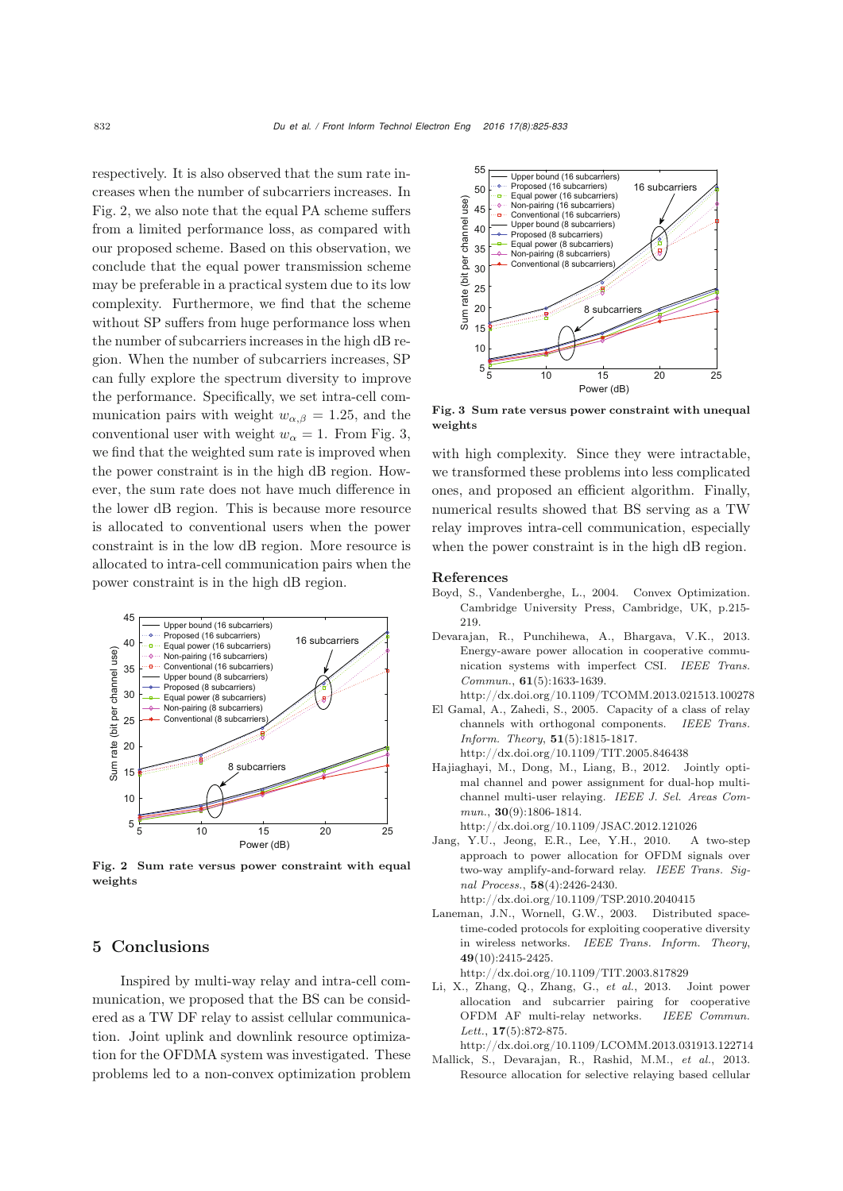respectively. It is also observed that the sum rate increases when the number of subcarriers increases. In Fig. 2, we also note that the equal PA scheme suffers from a limited performance loss, as compared with our proposed scheme. Based on this observation, we conclude that the equal power transmission scheme may be preferable in a practical system due to its low complexity. Furthermore, we find that the scheme without SP suffers from huge performance loss when the number of subcarriers increases in the high dB region. When the number of subcarriers increases, SP can fully explore the spectrum diversity to improve the performance. Specifically, we set intra-cell communication pairs with weight  $w_{\alpha,\beta} = 1.25$ , and the conventional user with weight  $w_{\alpha} = 1$ . From Fig. 3, we find that the weighted sum rate is improved when the power constraint is in the high dB region. However, the sum rate does not have much difference in the lower dB region. This is because more resource is allocated to conventional users when the power constraint is in the low dB region. More resource is allocated to intra-cell communication pairs when the power constraint is in the high dB region.



Fig. 2 Sum rate versus power constraint with equal weights

## 5 Conclusions

Inspired by multi-way relay and intra-cell communication, we proposed that the BS can be considered as a TW DF relay to assist cellular communication. Joint uplink and downlink resource optimization for the OFDMA system was investigated. These problems led to a non-convex optimization problem



Fig. 3 Sum rate versus power constraint with unequal weights

with high complexity. Since they were intractable, we transformed these problems into less complicated ones, and proposed an efficient algorithm. Finally, numerical results showed that BS serving as a TW relay improves intra-cell communication, especially when the power constraint is in the high dB region.

#### References

- <span id="page-7-7"></span>Boyd, S., Vandenberghe, L., 2004. Convex Optimization. Cambridge University Press, Cambridge, UK, p.215- 219.
- <span id="page-7-5"></span>Devarajan, R., Punchihewa, A., Bhargava, V.K., 2013. Energy-aware power allocation in cooperative communication systems with imperfect CSI. *IEEE Trans. Commun.*, 61(5):1633-1639.
- <span id="page-7-2"></span>http://dx.doi.org/10.1109/TCOMM.2013.021513.100278 El Gamal, A., Zahedi, S., 2005. Capacity of a class of relay channels with orthogonal components. *IEEE Trans. Inform. Theory*, 51(5):1815-1817.

http://dx.doi.org/10.1109/TIT.2005.846438

- <span id="page-7-4"></span>Hajiaghayi, M., Dong, M., Liang, B., 2012. Jointly optimal channel and power assignment for dual-hop multichannel multi-user relaying. *IEEE J. Sel. Areas Commun.*, 30(9):1806-1814.
	- http://dx.doi.org/10.1109/JSAC.2012.121026
- <span id="page-7-0"></span>Jang, Y.U., Jeong, E.R., Lee, Y.H., 2010. A two-step approach to power allocation for OFDM signals over two-way amplify-and-forward relay. *IEEE Trans. Signal Process.*, 58(4):2426-2430.

http://dx.doi.org/10.1109/TSP.2010.2040415

<span id="page-7-1"></span>Laneman, J.N., Wornell, G.W., 2003. Distributed spacetime-coded protocols for exploiting cooperative diversity in wireless networks. *IEEE Trans. Inform. Theory*, 49(10):2415-2425.

http://dx.doi.org/10.1109/TIT.2003.817829

<span id="page-7-3"></span>Li, X., Zhang, Q., Zhang, G., *et al.*, 2013. Joint power allocation and subcarrier pairing for cooperative OFDM AF multi-relay networks. *IEEE Commun. Lett.*, 17(5):872-875.

http://dx.doi.org/10.1109/LCOMM.2013.031913.122714 Mallick, S., Devarajan, R., Rashid, M.M., *et al.*, 2013.

<span id="page-7-6"></span>Resource allocation for selective relaying based cellular